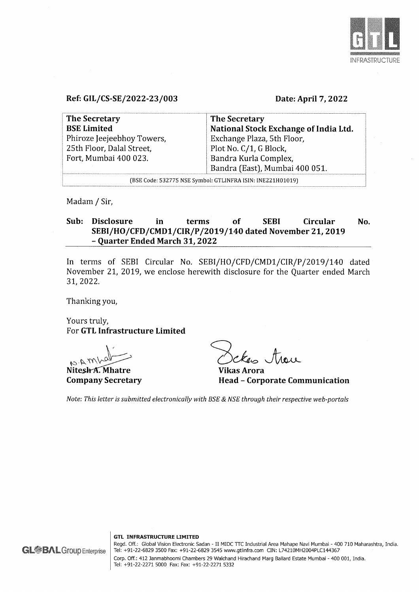

# Ref: GIL/CS-SE/2022-23/003

#### Date: April 7, 2022

| <b>The Secretary</b>                                       | <b>The Secretary</b>                  |  |
|------------------------------------------------------------|---------------------------------------|--|
| <b>BSE Limited</b>                                         | National Stock Exchange of India Ltd. |  |
| Phiroze Jeejeebhoy Towers,                                 | Exchange Plaza, 5th Floor,            |  |
| 25th Floor, Dalal Street,                                  | Plot No. C/1, G Block,                |  |
| Fort, Mumbai 400 023.                                      | Bandra Kurla Complex,                 |  |
|                                                            | Bandra (East), Mumbai 400 051.        |  |
| (BSE Code: 532775 NSE Symbol: GTLINFRA ISIN: INE221H01019) |                                       |  |

Madam / Sir,

# Sub: Disclosure in terms of SEBI Circular No. SEBI/HO/CFD/CMD1/CIR/P/2019/140 dated November 21, 2019 - Quarter Ended March 31, 2022

In terms of SEBI Circular No. SEBI/HO/CFD/CMD1/CIR/P/2019/140 dated November 21, 2019, we enclose herewith disclosure for the Quarter ended March 31, 2022.

Thanking you,

Yours truly, For GTL Infrastructure Limited

Nitesh A. Mhatre

Company Secretary

 $\zeta_n$ , trace

Vikas Arora Head - Corporate Communication

Note: This letter is submitted electronically with BSE & NSE through their respective web-portals

GTL INFRASTRUCTURE LIMITED Regd. Off.: Global Vision Electronic Sadan - II MIDC TTC Industrial Area Mahape Navi Mumbai - 400 710 Maharashtra, India. Tel: +91-22-6829 3500 Fax: +91-22-6829 3545 www.gtlinfra.com CIN: L74210MH2004PLC144367 Corp. Off.: 412 Janmabhoomi Chambers 29 Walchand Hirachand Marg Ballard Estate Mumbai - 400 001, India. Tel: +91-22-2271 5000 Fax: Fax: +91-22-2271 5332